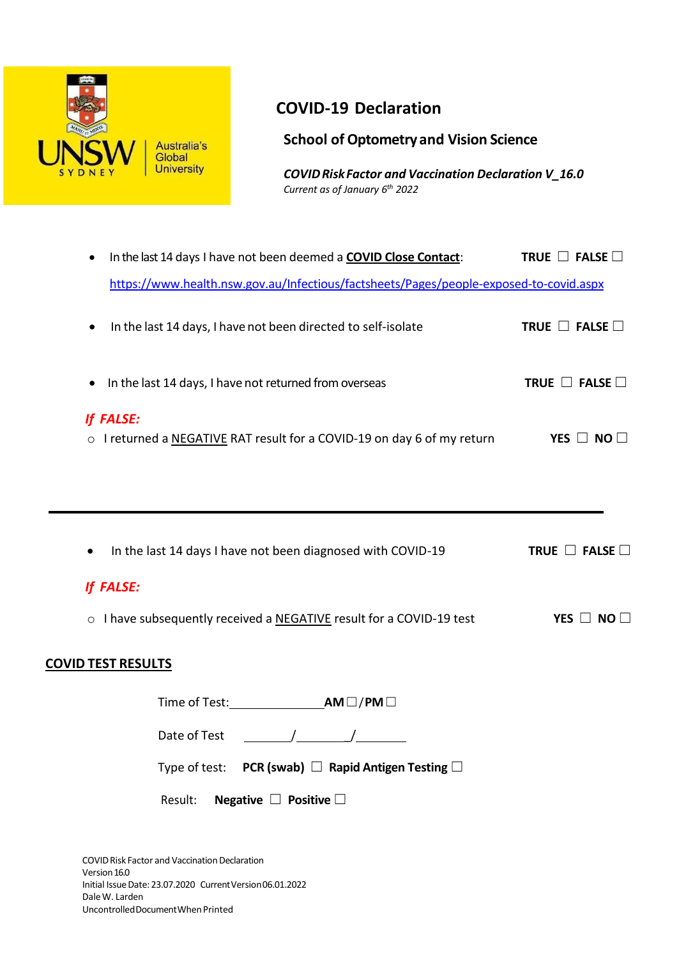

# **COVID-19 Declaration**

**School of Optometryand Vision Science**

*COVIDRiskFactor and Vaccination Declaration V\_16.0 Current as of January 6 th 2022*

| In the last 14 days I have not been deemed a COVID Close Contact:<br>$\bullet$         | TRUE $\Box$ FALSE $\Box$ |
|----------------------------------------------------------------------------------------|--------------------------|
| https://www.health.nsw.gov.au/Infectious/factsheets/Pages/people-exposed-to-covid.aspx |                          |
| In the last 14 days, I have not been directed to self-isolate<br>$\bullet$             | TRUE $\Box$ FALSE $\Box$ |
| In the last 14 days, I have not returned from overseas<br>$\bullet$                    | TRUE $\Box$ FALSE $\Box$ |
| If FALSE:<br>o I returned a NEGATIVE RAT result for a COVID-19 on day 6 of my return   | YES $\Box$ NO $\Box$     |
|                                                                                        |                          |
| In the last 14 days I have not been diagnosed with COVID-19<br>٠                       | TRUE $\Box$ FALSE $\Box$ |
| If FALSE:                                                                              |                          |
| I have subsequently received a NEGATIVE result for a COVID-19 test<br>$\circ$          | YES $\Box$ NO $\Box$     |
| <b>COVID TEST RESULTS</b>                                                              |                          |

Time of Test: **AM**☐/**PM**☐ Date of Test / \_/

Type of test: **PCR (swab)** ☐ **Rapid Antigen Testing** ☐

Result: **Negative** ☐ **Positive** ☐

COVID Risk Factor and Vaccination Declaration Version 16.0 Initial IssueDate: 23.07.2020 CurrentVersion06.01.2022 DaleW. Larden UncontrolledDocumentWhenPrinted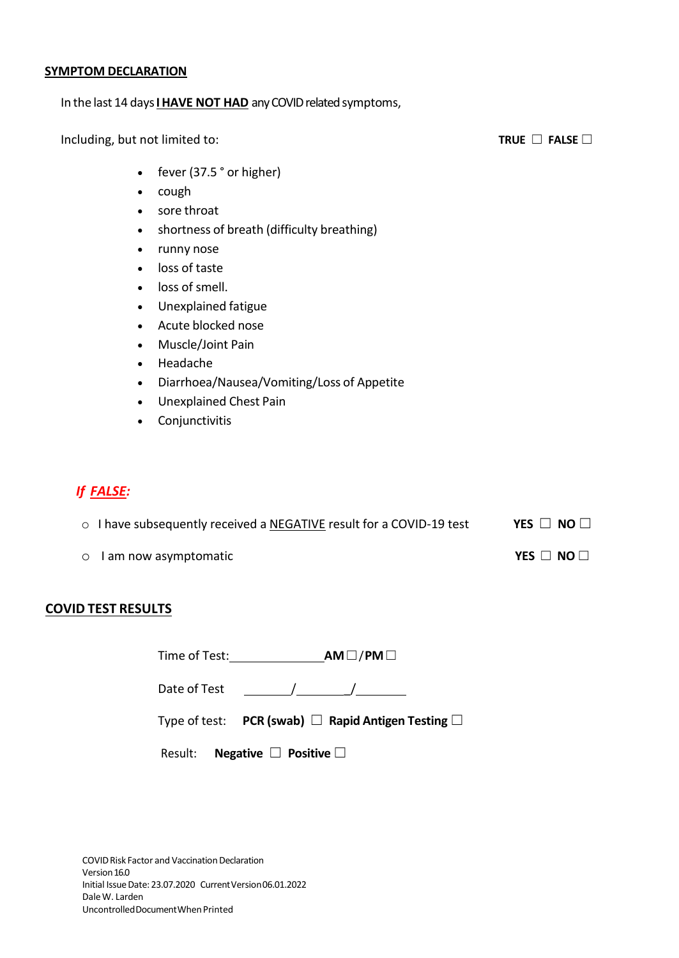#### **SYMPTOM DECLARATION**

### In the last 14 days **I HAVE NOT HAD** any COVID related symptoms,

Including, but not limited to: **TRUE** ☐ **FALSE** ☐

- fever (37.5 ° or higher)
- cough
- sore throat
- shortness of breath (difficulty breathing)
- runny nose
- loss of taste
- loss of smell.
- Unexplained fatigue
- Acute blocked nose
- Muscle/Joint Pain
- Headache
- Diarrhoea/Nausea/Vomiting/Loss of Appetite
- Unexplained Chest Pain
- Conjunctivitis

# *If FALSE:*

| ○ I have subsequently received a NEGATIVE result for a COVID-19 test | YES $\Box$ NO $\Box$ |
|----------------------------------------------------------------------|----------------------|
| ○ I am now asymptomatic                                              | YES $\Box$ NO $\Box$ |

## **COVID TEST RESULTS**

| Time of Test: | $AM \Box / PM \Box$ |
|---------------|---------------------|
|---------------|---------------------|

Date of Test / \_/

|--|--|--|--|

| Result: | Negative $\Box$ Positive $\Box$ |  |  |  |
|---------|---------------------------------|--|--|--|
|---------|---------------------------------|--|--|--|

COVID Risk Factor and Vaccination Declaration Version 16.0 Initial IssueDate: 23.07.2020 CurrentVersion06.01.2022 DaleW. Larden UncontrolledDocumentWhenPrinted